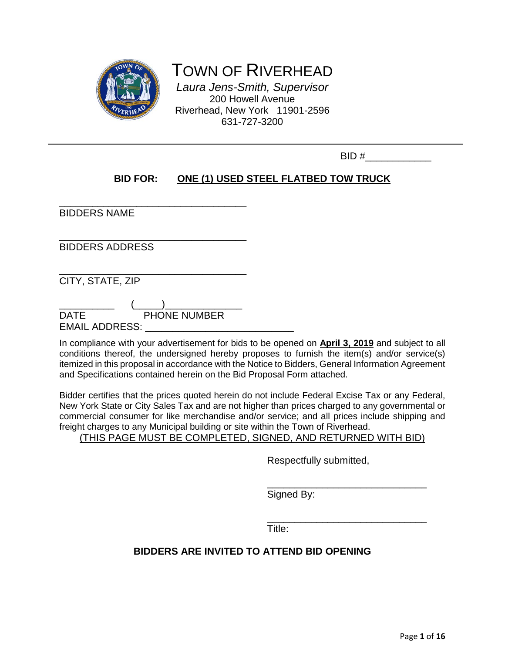

# TOWN OF RIVERHEAD

*Laura Jens-Smith, Supervisor* 200 Howell Avenue Riverhead, New York 11901-2596 631-727-3200

| $\bm{\tau}$ |
|-------------|
|-------------|

## **BID FOR: ONE (1) USED STEEL FLATBED TOW TRUCK**

\_\_\_\_\_\_\_\_\_\_\_\_\_\_\_\_\_\_\_\_\_\_\_\_\_\_\_\_\_\_\_\_\_\_ BIDDERS NAME

\_\_\_\_\_\_\_\_\_\_\_\_\_\_\_\_\_\_\_\_\_\_\_\_\_\_\_\_\_\_\_\_\_\_ BIDDERS ADDRESS

\_\_\_\_\_\_\_\_\_\_\_\_\_\_\_\_\_\_\_\_\_\_\_\_\_\_\_\_\_\_\_\_\_\_ CITY, STATE, ZIP

\_\_\_\_\_\_\_\_\_\_ (\_\_\_\_\_)\_\_\_\_\_\_\_\_\_\_\_\_\_\_ DATE PHONE NUMBER EMAIL ADDRESS: \_\_\_\_\_\_\_\_\_\_\_\_\_\_\_\_\_\_\_\_\_\_\_\_\_\_\_

In compliance with your advertisement for bids to be opened on **April 3, 2019** and subject to all conditions thereof, the undersigned hereby proposes to furnish the item(s) and/or service(s) itemized in this proposal in accordance with the Notice to Bidders, General Information Agreement and Specifications contained herein on the Bid Proposal Form attached.

Bidder certifies that the prices quoted herein do not include Federal Excise Tax or any Federal, New York State or City Sales Tax and are not higher than prices charged to any governmental or commercial consumer for like merchandise and/or service; and all prices include shipping and freight charges to any Municipal building or site within the Town of Riverhead.

(THIS PAGE MUST BE COMPLETED, SIGNED, AND RETURNED WITH BID)

Respectfully submitted,

\_\_\_\_\_\_\_\_\_\_\_\_\_\_\_\_\_\_\_\_\_\_\_\_\_\_\_\_\_ Signed By:

\_\_\_\_\_\_\_\_\_\_\_\_\_\_\_\_\_\_\_\_\_\_\_\_\_\_\_\_\_ Title:

## **BIDDERS ARE INVITED TO ATTEND BID OPENING**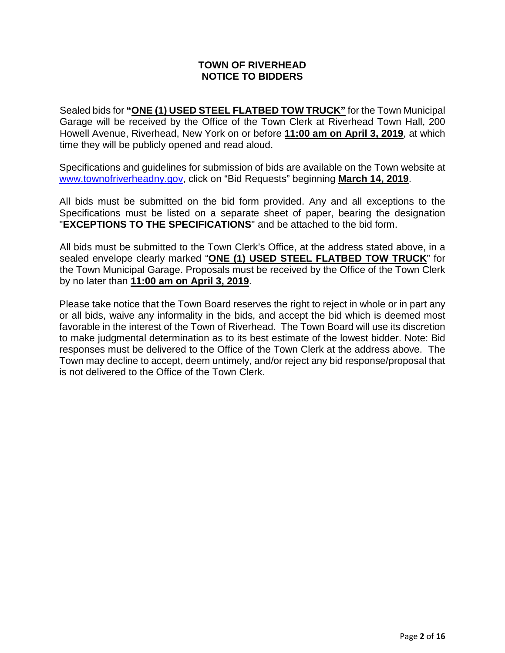## **TOWN OF RIVERHEAD NOTICE TO BIDDERS**

Sealed bids for **"ONE (1) USED STEEL FLATBED TOW TRUCK"** for the Town Municipal Garage will be received by the Office of the Town Clerk at Riverhead Town Hall, 200 Howell Avenue, Riverhead, New York on or before **11:00 am on April 3, 2019**, at which time they will be publicly opened and read aloud.

Specifications and guidelines for submission of bids are available on the Town website at [www.townofriverheadny.gov,](http://www.townofriverheadny.gov/) click on "Bid Requests" beginning **March 14, 2019**.

All bids must be submitted on the bid form provided. Any and all exceptions to the Specifications must be listed on a separate sheet of paper, bearing the designation "**EXCEPTIONS TO THE SPECIFICATIONS**" and be attached to the bid form.

All bids must be submitted to the Town Clerk's Office, at the address stated above, in a sealed envelope clearly marked "**ONE (1) USED STEEL FLATBED TOW TRUCK**" for the Town Municipal Garage. Proposals must be received by the Office of the Town Clerk by no later than **11:00 am on April 3, 2019**.

Please take notice that the Town Board reserves the right to reject in whole or in part any or all bids, waive any informality in the bids, and accept the bid which is deemed most favorable in the interest of the Town of Riverhead. The Town Board will use its discretion to make judgmental determination as to its best estimate of the lowest bidder. Note: Bid responses must be delivered to the Office of the Town Clerk at the address above. The Town may decline to accept, deem untimely, and/or reject any bid response/proposal that is not delivered to the Office of the Town Clerk.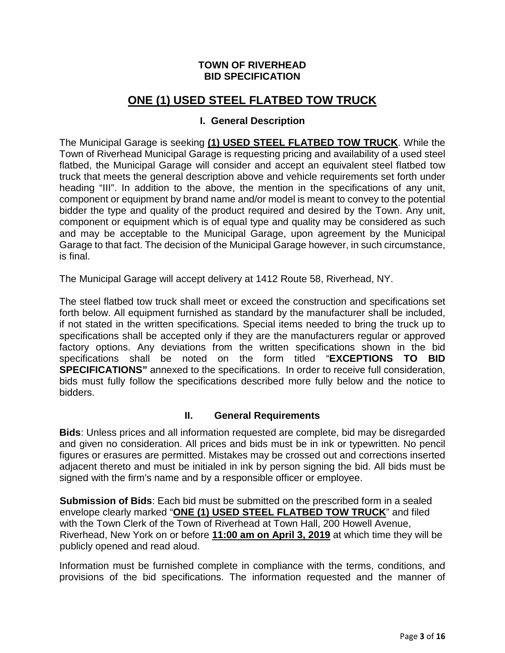#### **TOWN OF RIVERHEAD BID SPECIFICATION**

## **ONE (1) USED STEEL FLATBED TOW TRUCK**

## **I. General Description**

The Municipal Garage is seeking **(1) USED STEEL FLATBED TOW TRUCK**. While the Town of Riverhead Municipal Garage is requesting pricing and availability of a used steel flatbed, the Municipal Garage will consider and accept an equivalent steel flatbed tow truck that meets the general description above and vehicle requirements set forth under heading "III". In addition to the above, the mention in the specifications of any unit, component or equipment by brand name and/or model is meant to convey to the potential bidder the type and quality of the product required and desired by the Town. Any unit, component or equipment which is of equal type and quality may be considered as such and may be acceptable to the Municipal Garage, upon agreement by the Municipal Garage to that fact. The decision of the Municipal Garage however, in such circumstance, is final.

The Municipal Garage will accept delivery at 1412 Route 58, Riverhead, NY.

The steel flatbed tow truck shall meet or exceed the construction and specifications set forth below. All equipment furnished as standard by the manufacturer shall be included, if not stated in the written specifications. Special items needed to bring the truck up to specifications shall be accepted only if they are the manufacturers regular or approved factory options. Any deviations from the written specifications shown in the bid specifications shall be noted on the form titled "**EXCEPTIONS TO BID SPECIFICATIONS"** annexed to the specifications. In order to receive full consideration, bids must fully follow the specifications described more fully below and the notice to bidders.

## **II. General Requirements**

**Bids**: Unless prices and all information requested are complete, bid may be disregarded and given no consideration. All prices and bids must be in ink or typewritten. No pencil figures or erasures are permitted. Mistakes may be crossed out and corrections inserted adjacent thereto and must be initialed in ink by person signing the bid. All bids must be signed with the firm's name and by a responsible officer or employee.

**Submission of Bids**: Each bid must be submitted on the prescribed form in a sealed envelope clearly marked "**ONE (1) USED STEEL FLATBED TOW TRUCK**" and filed with the Town Clerk of the Town of Riverhead at Town Hall, 200 Howell Avenue, Riverhead, New York on or before **11:00 am on April 3, 2019** at which time they will be publicly opened and read aloud.

Information must be furnished complete in compliance with the terms, conditions, and provisions of the bid specifications. The information requested and the manner of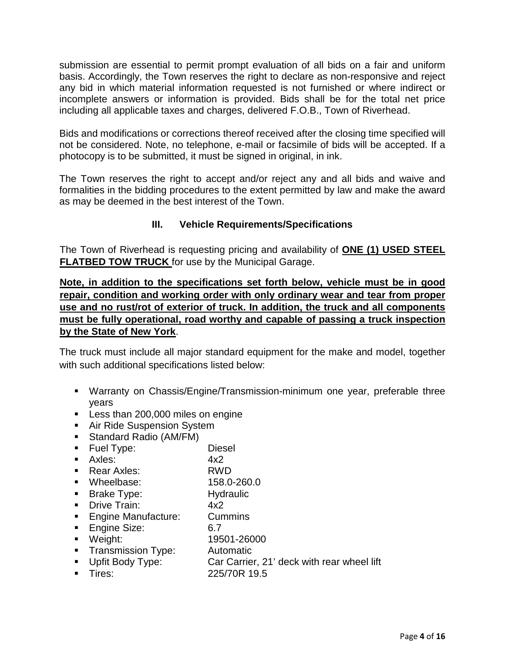submission are essential to permit prompt evaluation of all bids on a fair and uniform basis. Accordingly, the Town reserves the right to declare as non-responsive and reject any bid in which material information requested is not furnished or where indirect or incomplete answers or information is provided. Bids shall be for the total net price including all applicable taxes and charges, delivered F.O.B., Town of Riverhead.

Bids and modifications or corrections thereof received after the closing time specified will not be considered. Note, no telephone, e-mail or facsimile of bids will be accepted. If a photocopy is to be submitted, it must be signed in original, in ink.

The Town reserves the right to accept and/or reject any and all bids and waive and formalities in the bidding procedures to the extent permitted by law and make the award as may be deemed in the best interest of the Town.

## **III. Vehicle Requirements/Specifications**

The Town of Riverhead is requesting pricing and availability of **ONE (1) USED STEEL FLATBED TOW TRUCK** for use by the Municipal Garage.

**Note, in addition to the specifications set forth below, vehicle must be in good repair, condition and working order with only ordinary wear and tear from proper use and no rust/rot of exterior of truck. In addition, the truck and all components must be fully operational, road worthy and capable of passing a truck inspection by the State of New York**.

The truck must include all major standard equipment for the make and model, together with such additional specifications listed below:

- Warranty on Chassis/Engine/Transmission-minimum one year, preferable three years
- Less than 200,000 miles on engine
- **Air Ride Suspension System**
- **Standard Radio (AM/FM)**
- Fuel Type: Diesel
- Axles: 4x2
- Rear Axles: RWD
- Wheelbase: 158.0-260.0
- Brake Type: Hydraulic
- Drive Train: 4x2
- **Engine Manufacture:** Cummins
- Engine Size: 6.7
- 19501-26000
- **Transmission Type:** Automatic
- Upfit Body Type: Car Carrier, 21' deck with rear wheel lift
- Tires: 225/70R 19.5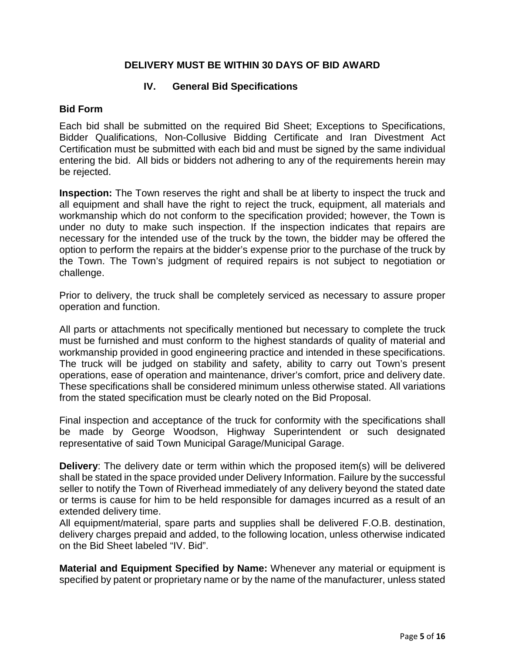## **DELIVERY MUST BE WITHIN 30 DAYS OF BID AWARD**

## **IV. General Bid Specifications**

#### **Bid Form**

Each bid shall be submitted on the required Bid Sheet; Exceptions to Specifications, Bidder Qualifications, Non-Collusive Bidding Certificate and Iran Divestment Act Certification must be submitted with each bid and must be signed by the same individual entering the bid. All bids or bidders not adhering to any of the requirements herein may be rejected.

**Inspection:** The Town reserves the right and shall be at liberty to inspect the truck and all equipment and shall have the right to reject the truck, equipment, all materials and workmanship which do not conform to the specification provided; however, the Town is under no duty to make such inspection. If the inspection indicates that repairs are necessary for the intended use of the truck by the town, the bidder may be offered the option to perform the repairs at the bidder's expense prior to the purchase of the truck by the Town. The Town's judgment of required repairs is not subject to negotiation or challenge.

Prior to delivery, the truck shall be completely serviced as necessary to assure proper operation and function.

All parts or attachments not specifically mentioned but necessary to complete the truck must be furnished and must conform to the highest standards of quality of material and workmanship provided in good engineering practice and intended in these specifications. The truck will be judged on stability and safety, ability to carry out Town's present operations, ease of operation and maintenance, driver's comfort, price and delivery date. These specifications shall be considered minimum unless otherwise stated. All variations from the stated specification must be clearly noted on the Bid Proposal.

Final inspection and acceptance of the truck for conformity with the specifications shall be made by George Woodson, Highway Superintendent or such designated representative of said Town Municipal Garage/Municipal Garage.

**Delivery**: The delivery date or term within which the proposed item(s) will be delivered shall be stated in the space provided under Delivery Information. Failure by the successful seller to notify the Town of Riverhead immediately of any delivery beyond the stated date or terms is cause for him to be held responsible for damages incurred as a result of an extended delivery time.

All equipment/material, spare parts and supplies shall be delivered F.O.B. destination, delivery charges prepaid and added, to the following location, unless otherwise indicated on the Bid Sheet labeled "IV. Bid".

**Material and Equipment Specified by Name:** Whenever any material or equipment is specified by patent or proprietary name or by the name of the manufacturer, unless stated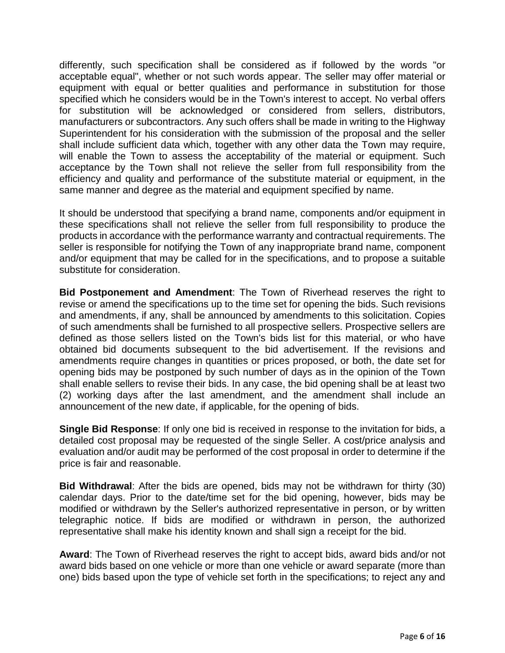differently, such specification shall be considered as if followed by the words "or acceptable equal", whether or not such words appear. The seller may offer material or equipment with equal or better qualities and performance in substitution for those specified which he considers would be in the Town's interest to accept. No verbal offers for substitution will be acknowledged or considered from sellers, distributors, manufacturers or subcontractors. Any such offers shall be made in writing to the Highway Superintendent for his consideration with the submission of the proposal and the seller shall include sufficient data which, together with any other data the Town may require, will enable the Town to assess the acceptability of the material or equipment. Such acceptance by the Town shall not relieve the seller from full responsibility from the efficiency and quality and performance of the substitute material or equipment, in the same manner and degree as the material and equipment specified by name.

It should be understood that specifying a brand name, components and/or equipment in these specifications shall not relieve the seller from full responsibility to produce the products in accordance with the performance warranty and contractual requirements. The seller is responsible for notifying the Town of any inappropriate brand name, component and/or equipment that may be called for in the specifications, and to propose a suitable substitute for consideration.

**Bid Postponement and Amendment**: The Town of Riverhead reserves the right to revise or amend the specifications up to the time set for opening the bids. Such revisions and amendments, if any, shall be announced by amendments to this solicitation. Copies of such amendments shall be furnished to all prospective sellers. Prospective sellers are defined as those sellers listed on the Town's bids list for this material, or who have obtained bid documents subsequent to the bid advertisement. If the revisions and amendments require changes in quantities or prices proposed, or both, the date set for opening bids may be postponed by such number of days as in the opinion of the Town shall enable sellers to revise their bids. In any case, the bid opening shall be at least two (2) working days after the last amendment, and the amendment shall include an announcement of the new date, if applicable, for the opening of bids.

**Single Bid Response**: If only one bid is received in response to the invitation for bids, a detailed cost proposal may be requested of the single Seller. A cost/price analysis and evaluation and/or audit may be performed of the cost proposal in order to determine if the price is fair and reasonable.

**Bid Withdrawal**: After the bids are opened, bids may not be withdrawn for thirty (30) calendar days. Prior to the date/time set for the bid opening, however, bids may be modified or withdrawn by the Seller's authorized representative in person, or by written telegraphic notice. If bids are modified or withdrawn in person, the authorized representative shall make his identity known and shall sign a receipt for the bid.

**Award**: The Town of Riverhead reserves the right to accept bids, award bids and/or not award bids based on one vehicle or more than one vehicle or award separate (more than one) bids based upon the type of vehicle set forth in the specifications; to reject any and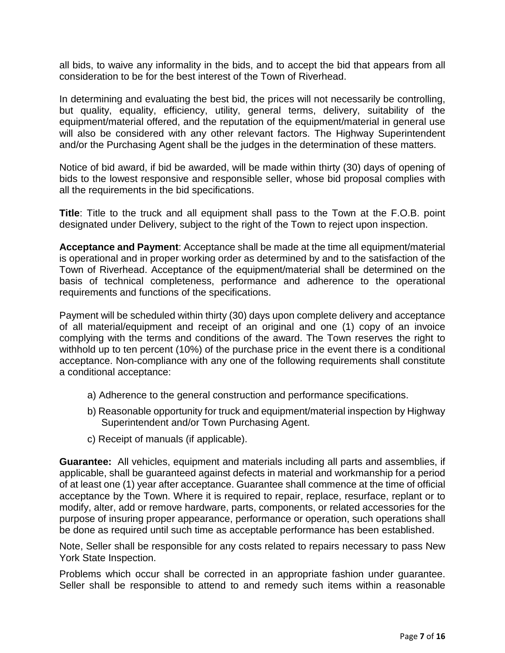all bids, to waive any informality in the bids, and to accept the bid that appears from all consideration to be for the best interest of the Town of Riverhead.

In determining and evaluating the best bid, the prices will not necessarily be controlling, but quality, equality, efficiency, utility, general terms, delivery, suitability of the equipment/material offered, and the reputation of the equipment/material in general use will also be considered with any other relevant factors. The Highway Superintendent and/or the Purchasing Agent shall be the judges in the determination of these matters.

Notice of bid award, if bid be awarded, will be made within thirty (30) days of opening of bids to the lowest responsive and responsible seller, whose bid proposal complies with all the requirements in the bid specifications.

**Title**: Title to the truck and all equipment shall pass to the Town at the F.O.B. point designated under Delivery, subject to the right of the Town to reject upon inspection.

**Acceptance and Payment**: Acceptance shall be made at the time all equipment/material is operational and in proper working order as determined by and to the satisfaction of the Town of Riverhead. Acceptance of the equipment/material shall be determined on the basis of technical completeness, performance and adherence to the operational requirements and functions of the specifications.

Payment will be scheduled within thirty (30) days upon complete delivery and acceptance of all material/equipment and receipt of an original and one (1) copy of an invoice complying with the terms and conditions of the award. The Town reserves the right to withhold up to ten percent (10%) of the purchase price in the event there is a conditional acceptance. Non-compliance with any one of the following requirements shall constitute a conditional acceptance:

- a) Adherence to the general construction and performance specifications.
- b) Reasonable opportunity for truck and equipment/material inspection by Highway Superintendent and/or Town Purchasing Agent.
- c) Receipt of manuals (if applicable).

**Guarantee:** All vehicles, equipment and materials including all parts and assemblies, if applicable, shall be guaranteed against defects in material and workmanship for a period of at least one (1) year after acceptance. Guarantee shall commence at the time of official acceptance by the Town. Where it is required to repair, replace, resurface, replant or to modify, alter, add or remove hardware, parts, components, or related accessories for the purpose of insuring proper appearance, performance or operation, such operations shall be done as required until such time as acceptable performance has been established.

Note, Seller shall be responsible for any costs related to repairs necessary to pass New York State Inspection.

Problems which occur shall be corrected in an appropriate fashion under guarantee. Seller shall be responsible to attend to and remedy such items within a reasonable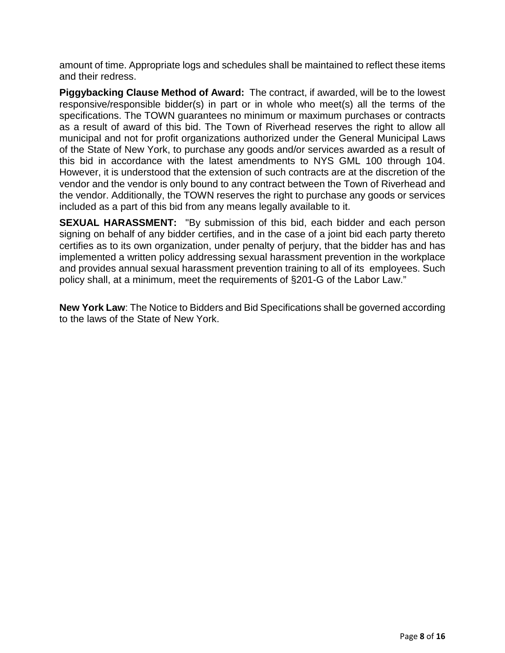amount of time. Appropriate logs and schedules shall be maintained to reflect these items and their redress.

**Piggybacking Clause Method of Award:** The contract, if awarded, will be to the lowest responsive/responsible bidder(s) in part or in whole who meet(s) all the terms of the specifications. The TOWN guarantees no minimum or maximum purchases or contracts as a result of award of this bid. The Town of Riverhead reserves the right to allow all municipal and not for profit organizations authorized under the General Municipal Laws of the State of New York, to purchase any goods and/or services awarded as a result of this bid in accordance with the latest amendments to NYS GML 100 through 104. However, it is understood that the extension of such contracts are at the discretion of the vendor and the vendor is only bound to any contract between the Town of Riverhead and the vendor. Additionally, the TOWN reserves the right to purchase any goods or services included as a part of this bid from any means legally available to it.

**SEXUAL HARASSMENT:** "By submission of this bid, each bidder and each person signing on behalf of any bidder certifies, and in the case of a joint bid each party thereto certifies as to its own organization, under penalty of perjury, that the bidder has and has implemented a written policy addressing sexual harassment prevention in the workplace and provides annual sexual harassment prevention training to all of its employees. Such policy shall, at a minimum, meet the requirements of §201-G of the Labor Law."

**New York Law**: The Notice to Bidders and Bid Specifications shall be governed according to the laws of the State of New York.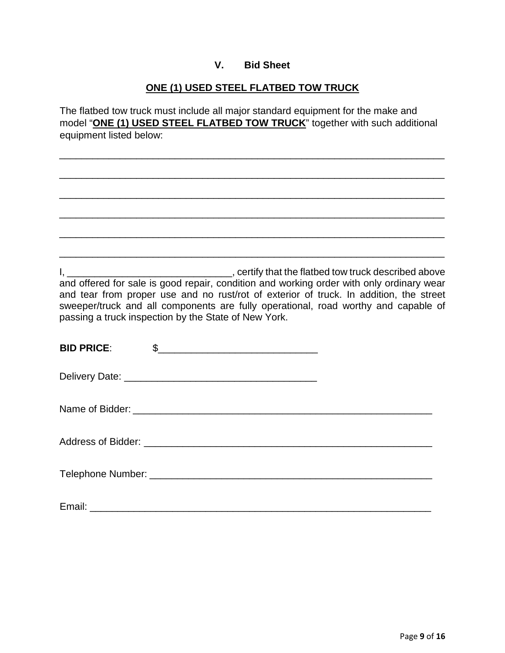## **V. Bid Sheet**

## **ONE (1) USED STEEL FLATBED TOW TRUCK**

The flatbed tow truck must include all major standard equipment for the make and model "**ONE (1) USED STEEL FLATBED TOW TRUCK**" together with such additional equipment listed below:

\_\_\_\_\_\_\_\_\_\_\_\_\_\_\_\_\_\_\_\_\_\_\_\_\_\_\_\_\_\_\_\_\_\_\_\_\_\_\_\_\_\_\_\_\_\_\_\_\_\_\_\_\_\_\_\_\_\_\_\_\_\_\_\_\_\_\_\_\_\_

\_\_\_\_\_\_\_\_\_\_\_\_\_\_\_\_\_\_\_\_\_\_\_\_\_\_\_\_\_\_\_\_\_\_\_\_\_\_\_\_\_\_\_\_\_\_\_\_\_\_\_\_\_\_\_\_\_\_\_\_\_\_\_\_\_\_\_\_\_\_

\_\_\_\_\_\_\_\_\_\_\_\_\_\_\_\_\_\_\_\_\_\_\_\_\_\_\_\_\_\_\_\_\_\_\_\_\_\_\_\_\_\_\_\_\_\_\_\_\_\_\_\_\_\_\_\_\_\_\_\_\_\_\_\_\_\_\_\_\_\_

\_\_\_\_\_\_\_\_\_\_\_\_\_\_\_\_\_\_\_\_\_\_\_\_\_\_\_\_\_\_\_\_\_\_\_\_\_\_\_\_\_\_\_\_\_\_\_\_\_\_\_\_\_\_\_\_\_\_\_\_\_\_\_\_\_\_\_\_\_\_

\_\_\_\_\_\_\_\_\_\_\_\_\_\_\_\_\_\_\_\_\_\_\_\_\_\_\_\_\_\_\_\_\_\_\_\_\_\_\_\_\_\_\_\_\_\_\_\_\_\_\_\_\_\_\_\_\_\_\_\_\_\_\_\_\_\_\_\_\_\_

 $\_$  ,  $\_$  ,  $\_$  ,  $\_$  ,  $\_$  ,  $\_$  ,  $\_$  ,  $\_$  ,  $\_$  ,  $\_$  ,  $\_$  ,  $\_$  ,  $\_$  ,  $\_$  ,  $\_$  ,  $\_$  ,  $\_$  ,  $\_$  ,  $\_$ 

|                                                      | , certify that the flatbed tow truck described above                                     |
|------------------------------------------------------|------------------------------------------------------------------------------------------|
|                                                      | and offered for sale is good repair, condition and working order with only ordinary wear |
|                                                      | and tear from proper use and no rust/rot of exterior of truck. In addition, the street   |
|                                                      | sweeper/truck and all components are fully operational, road worthy and capable of       |
| passing a truck inspection by the State of New York. |                                                                                          |

| <b>BID PRICE:</b> | $\frac{1}{2}$ |  |
|-------------------|---------------|--|
|                   |               |  |
|                   |               |  |
|                   |               |  |
|                   |               |  |
| Email:            |               |  |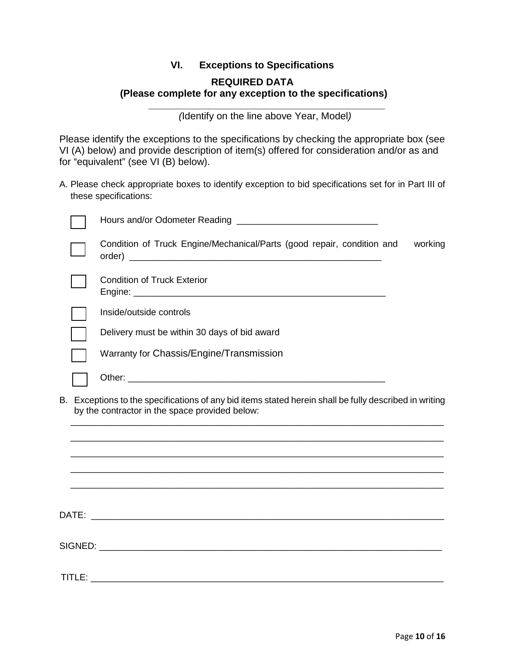## **VI. Exceptions to Specifications**

## **REQUIRED DATA (Please complete for any exception to the specifications)**

**\_\_\_\_\_\_\_\_\_\_\_\_\_\_\_\_\_\_\_\_\_\_\_\_\_\_\_\_\_\_\_\_\_\_\_\_\_\_\_\_\_\_\_** *(*Identify on the line above Year, Model*)*

Please identify the exceptions to the specifications by checking the appropriate box (see VI (A) below) and provide description of item(s) offered for consideration and/or as and for "equivalent" (see VI (B) below).

A. Please check appropriate boxes to identify exception to bid specifications set for in Part III of these specifications:

|        | Condition of Truck Engine/Mechanical/Parts (good repair, condition and                                                                                   | working |
|--------|----------------------------------------------------------------------------------------------------------------------------------------------------------|---------|
|        | <b>Condition of Truck Exterior</b><br>Engine: 2008 2009 2010 2020 2020 2021 2022 2022 2023 2024 2022 2023 2024 2022 2023 2024 2022 2023 2024 2022 20     |         |
|        | Inside/outside controls                                                                                                                                  |         |
|        | Delivery must be within 30 days of bid award                                                                                                             |         |
|        | Warranty for Chassis/Engine/Transmission                                                                                                                 |         |
|        |                                                                                                                                                          |         |
|        | B. Exceptions to the specifications of any bid items stated herein shall be fully described in writing<br>by the contractor in the space provided below: |         |
|        |                                                                                                                                                          |         |
|        |                                                                                                                                                          |         |
|        |                                                                                                                                                          |         |
|        |                                                                                                                                                          |         |
|        |                                                                                                                                                          |         |
| TITLE: |                                                                                                                                                          |         |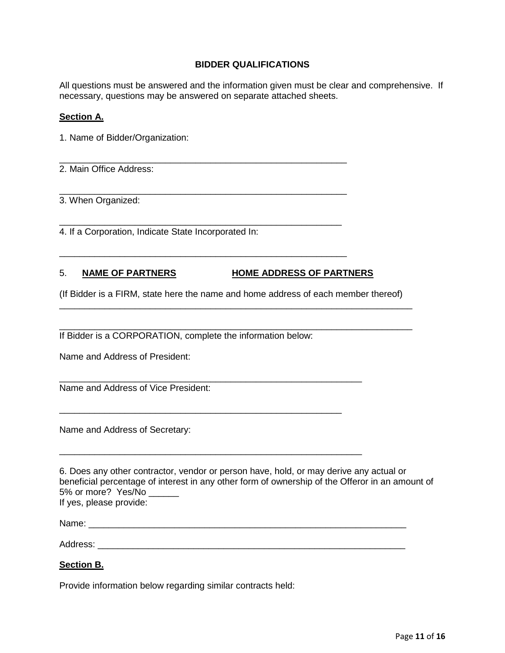#### **BIDDER QUALIFICATIONS**

All questions must be answered and the information given must be clear and comprehensive. If necessary, questions may be answered on separate attached sheets.

#### **Section A.**

1. Name of Bidder/Organization:

\_\_\_\_\_\_\_\_\_\_\_\_\_\_\_\_\_\_\_\_\_\_\_\_\_\_\_\_\_\_\_\_\_\_\_\_\_\_\_\_\_\_\_\_\_\_\_\_\_\_\_\_\_\_\_\_\_ 2. Main Office Address:

\_\_\_\_\_\_\_\_\_\_\_\_\_\_\_\_\_\_\_\_\_\_\_\_\_\_\_\_\_\_\_\_\_\_\_\_\_\_\_\_\_\_\_\_\_\_\_\_\_\_\_\_\_\_\_\_\_ 3. When Organized:

\_\_\_\_\_\_\_\_\_\_\_\_\_\_\_\_\_\_\_\_\_\_\_\_\_\_\_\_\_\_\_\_\_\_\_\_\_\_\_\_\_\_\_\_\_\_\_\_\_\_\_\_\_\_\_\_ 4. If a Corporation, Indicate State Incorporated In:

## 5. **NAME OF PARTNERS HOME ADDRESS OF PARTNERS**

\_\_\_\_\_\_\_\_\_\_\_\_\_\_\_\_\_\_\_\_\_\_\_\_\_\_\_\_\_\_\_\_\_\_\_\_\_\_\_\_\_\_\_\_\_\_\_\_\_\_\_\_\_\_\_\_\_

(If Bidder is a FIRM, state here the name and home address of each member thereof) \_\_\_\_\_\_\_\_\_\_\_\_\_\_\_\_\_\_\_\_\_\_\_\_\_\_\_\_\_\_\_\_\_\_\_\_\_\_\_\_\_\_\_\_\_\_\_\_\_\_\_\_\_\_\_\_\_\_\_\_\_\_\_\_\_\_\_\_\_\_

\_\_\_\_\_\_\_\_\_\_\_\_\_\_\_\_\_\_\_\_\_\_\_\_\_\_\_\_\_\_\_\_\_\_\_\_\_\_\_\_\_\_\_\_\_\_\_\_\_\_\_\_\_\_\_\_\_\_\_\_\_\_\_\_\_\_\_\_\_\_ If Bidder is a CORPORATION, complete the information below:

\_\_\_\_\_\_\_\_\_\_\_\_\_\_\_\_\_\_\_\_\_\_\_\_\_\_\_\_\_\_\_\_\_\_\_\_\_\_\_\_\_\_\_\_\_\_\_\_\_\_\_\_\_\_\_\_

\_\_\_\_\_\_\_\_\_\_\_\_\_\_\_\_\_\_\_\_\_\_\_\_\_\_\_\_\_\_\_\_\_\_\_\_\_\_\_\_\_\_\_\_\_\_\_\_\_\_\_\_\_\_\_\_\_\_\_\_

Name and Address of President:

\_\_\_\_\_\_\_\_\_\_\_\_\_\_\_\_\_\_\_\_\_\_\_\_\_\_\_\_\_\_\_\_\_\_\_\_\_\_\_\_\_\_\_\_\_\_\_\_\_\_\_\_\_\_\_\_\_\_\_\_ Name and Address of Vice President:

Name and Address of Secretary:

6. Does any other contractor, vendor or person have, hold, or may derive any actual or beneficial percentage of interest in any other form of ownership of the Offeror in an amount of 5% or more? Yes/No If yes, please provide:

| $\cdots$ |
|----------|
|----------|

Address:

#### **Section B.**

Provide information below regarding similar contracts held: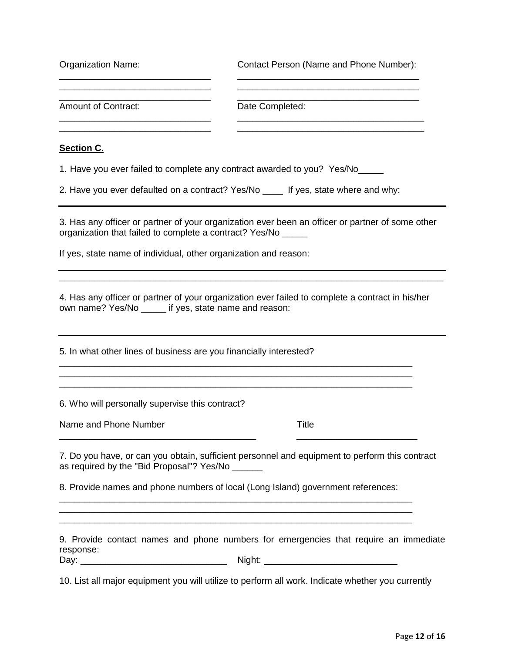| Organization Name:<br><u> 1965 - Jan James Barbara, mandat a shekara 1965</u>       | Contact Person (Name and Phone Number):                                                                                                                                                                                                                                      |
|-------------------------------------------------------------------------------------|------------------------------------------------------------------------------------------------------------------------------------------------------------------------------------------------------------------------------------------------------------------------------|
| <b>Amount of Contract:</b>                                                          | Date Completed:                                                                                                                                                                                                                                                              |
| Section C.                                                                          |                                                                                                                                                                                                                                                                              |
| 1. Have you ever failed to complete any contract awarded to you? Yes/No             |                                                                                                                                                                                                                                                                              |
| 2. Have you ever defaulted on a contract? Yes/No _____ If yes, state where and why: |                                                                                                                                                                                                                                                                              |
| organization that failed to complete a contract? Yes/No _____                       | 3. Has any officer or partner of your organization ever been an officer or partner of some other                                                                                                                                                                             |
| If yes, state name of individual, other organization and reason:                    |                                                                                                                                                                                                                                                                              |
| own name? Yes/No ______ if yes, state name and reason:                              | 4. Has any officer or partner of your organization ever failed to complete a contract in his/her                                                                                                                                                                             |
| 5. In what other lines of business are you financially interested?                  |                                                                                                                                                                                                                                                                              |
| 6. Who will personally supervise this contract?                                     |                                                                                                                                                                                                                                                                              |
| Name and Phone Number                                                               | <b>Title</b>                                                                                                                                                                                                                                                                 |
| as required by the "Bid Proposal"? Yes/No ______                                    | 7. Do you have, or can you obtain, sufficient personnel and equipment to perform this contract                                                                                                                                                                               |
| 8. Provide names and phone numbers of local (Long Island) government references:    |                                                                                                                                                                                                                                                                              |
| response:                                                                           | <u> 1989 - Johann Stoff, deutscher Stoff, der Stoff, der Stoff, der Stoff, der Stoff, der Stoff, der Stoff, der S</u><br><u> 1989 - Johann Stoff, amerikansk politiker (d. 1989)</u><br>9. Provide contact names and phone numbers for emergencies that require an immediate |
|                                                                                     | 10. List all major equipment you will utilize to perform all work. Indicate whether you currently                                                                                                                                                                            |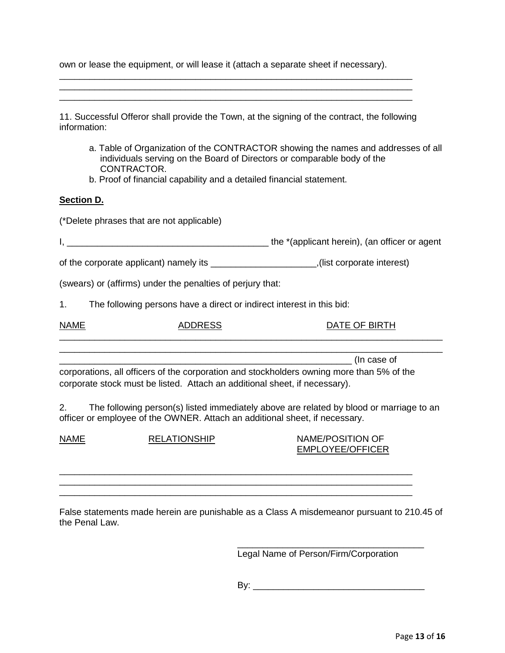own or lease the equipment, or will lease it (attach a separate sheet if necessary).

11. Successful Offeror shall provide the Town, at the signing of the contract, the following information:

\_\_\_\_\_\_\_\_\_\_\_\_\_\_\_\_\_\_\_\_\_\_\_\_\_\_\_\_\_\_\_\_\_\_\_\_\_\_\_\_\_\_\_\_\_\_\_\_\_\_\_\_\_\_\_\_\_\_\_\_\_\_\_\_\_\_\_\_\_\_ \_\_\_\_\_\_\_\_\_\_\_\_\_\_\_\_\_\_\_\_\_\_\_\_\_\_\_\_\_\_\_\_\_\_\_\_\_\_\_\_\_\_\_\_\_\_\_\_\_\_\_\_\_\_\_\_\_\_\_\_\_\_\_\_\_\_\_\_\_\_ \_\_\_\_\_\_\_\_\_\_\_\_\_\_\_\_\_\_\_\_\_\_\_\_\_\_\_\_\_\_\_\_\_\_\_\_\_\_\_\_\_\_\_\_\_\_\_\_\_\_\_\_\_\_\_\_\_\_\_\_\_\_\_\_\_\_\_\_\_\_

- a. Table of Organization of the CONTRACTOR showing the names and addresses of all individuals serving on the Board of Directors or comparable body of the CONTRACTOR.
- b. Proof of financial capability and a detailed financial statement.

#### **Section D.**

(\*Delete phrases that are not applicable)

I, \_\_\_\_\_\_\_\_\_\_\_\_\_\_\_\_\_\_\_\_\_\_\_\_\_\_\_\_\_\_\_\_\_\_\_\_\_\_\_\_ the \*(applicant herein), (an officer or agent

of the corporate applicant) namely its \_\_\_\_\_\_\_\_\_\_\_\_\_\_\_\_\_\_\_\_\_,(list corporate interest)

(swears) or (affirms) under the penalties of perjury that:

1. The following persons have a direct or indirect interest in this bid:

| <b>NAME</b> | <b>DDF00</b><br>∼ |  |
|-------------|-------------------|--|
|             |                   |  |

\_\_\_\_\_\_\_\_\_\_\_\_\_\_\_\_\_\_\_\_\_\_\_\_\_\_\_\_\_\_\_\_\_\_\_\_\_\_\_\_\_\_\_\_\_\_\_\_\_\_\_\_\_\_\_\_\_\_\_\_\_\_\_\_\_\_\_\_\_\_\_\_\_\_\_\_

\_\_\_\_\_\_\_\_\_\_\_\_\_\_\_\_\_\_\_\_\_\_\_\_\_\_\_\_\_\_\_\_\_\_\_\_\_\_\_\_\_\_\_\_\_\_\_\_\_\_\_\_\_\_\_\_\_\_ (In case of

corporations, all officers of the corporation and stockholders owning more than 5% of the corporate stock must be listed. Attach an additional sheet, if necessary).

2. The following person(s) listed immediately above are related by blood or marriage to an officer or employee of the OWNER. Attach an additional sheet, if necessary.

| <b>NAME</b> | <b>RELATIONSHIP</b> | NAME/POSITION OF<br><b>EMPLOYEE/OFFICER</b> |
|-------------|---------------------|---------------------------------------------|
|             |                     |                                             |
|             |                     |                                             |
|             |                     |                                             |

False statements made herein are punishable as a Class A misdemeanor pursuant to 210.45 of the Penal Law.

Legal Name of Person/Firm/Corporation

By: \_\_\_\_\_\_\_\_\_\_\_\_\_\_\_\_\_\_\_\_\_\_\_\_\_\_\_\_\_\_\_\_\_\_

\_\_\_\_\_\_\_\_\_\_\_\_\_\_\_\_\_\_\_\_\_\_\_\_\_\_\_\_\_\_\_\_\_\_\_\_\_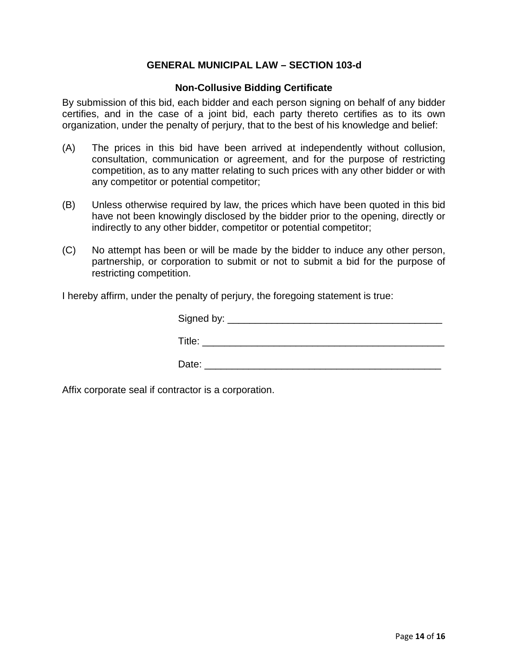## **GENERAL MUNICIPAL LAW – SECTION 103-d**

#### **Non-Collusive Bidding Certificate**

By submission of this bid, each bidder and each person signing on behalf of any bidder certifies, and in the case of a joint bid, each party thereto certifies as to its own organization, under the penalty of perjury, that to the best of his knowledge and belief:

- (A) The prices in this bid have been arrived at independently without collusion, consultation, communication or agreement, and for the purpose of restricting competition, as to any matter relating to such prices with any other bidder or with any competitor or potential competitor;
- (B) Unless otherwise required by law, the prices which have been quoted in this bid have not been knowingly disclosed by the bidder prior to the opening, directly or indirectly to any other bidder, competitor or potential competitor;
- (C) No attempt has been or will be made by the bidder to induce any other person, partnership, or corporation to submit or not to submit a bid for the purpose of restricting competition.

I hereby affirm, under the penalty of perjury, the foregoing statement is true:

| Signed by: __ |  |
|---------------|--|
| Title:        |  |
| Date:         |  |

Affix corporate seal if contractor is a corporation.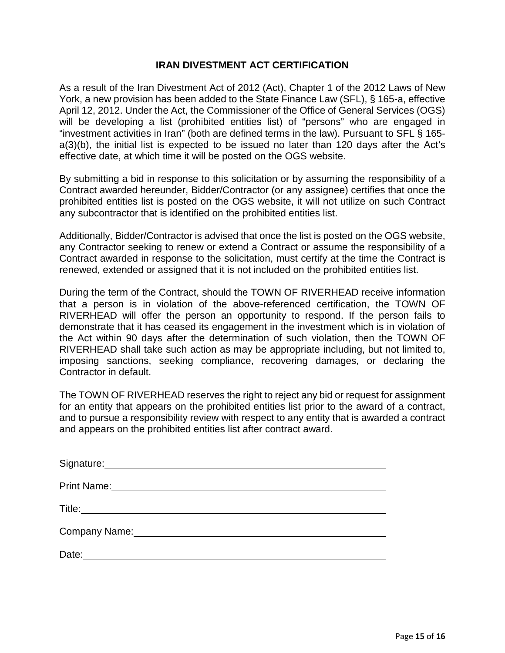#### **IRAN DIVESTMENT ACT CERTIFICATION**

As a result of the Iran Divestment Act of 2012 (Act), Chapter 1 of the 2012 Laws of New York, a new provision has been added to the State Finance Law (SFL), § 165-a, effective April 12, 2012. Under the Act, the Commissioner of the Office of General Services (OGS) will be developing a list (prohibited entities list) of "persons" who are engaged in "investment activities in Iran" (both are defined terms in the law). Pursuant to SFL § 165 a(3)(b), the initial list is expected to be issued no later than 120 days after the Act's effective date, at which time it will be posted on the OGS website.

By submitting a bid in response to this solicitation or by assuming the responsibility of a Contract awarded hereunder, Bidder/Contractor (or any assignee) certifies that once the prohibited entities list is posted on the OGS website, it will not utilize on such Contract any subcontractor that is identified on the prohibited entities list.

Additionally, Bidder/Contractor is advised that once the list is posted on the OGS website, any Contractor seeking to renew or extend a Contract or assume the responsibility of a Contract awarded in response to the solicitation, must certify at the time the Contract is renewed, extended or assigned that it is not included on the prohibited entities list.

During the term of the Contract, should the TOWN OF RIVERHEAD receive information that a person is in violation of the above-referenced certification, the TOWN OF RIVERHEAD will offer the person an opportunity to respond. If the person fails to demonstrate that it has ceased its engagement in the investment which is in violation of the Act within 90 days after the determination of such violation, then the TOWN OF RIVERHEAD shall take such action as may be appropriate including, but not limited to, imposing sanctions, seeking compliance, recovering damages, or declaring the Contractor in default.

The TOWN OF RIVERHEAD reserves the right to reject any bid or request for assignment for an entity that appears on the prohibited entities list prior to the award of a contract, and to pursue a responsibility review with respect to any entity that is awarded a contract and appears on the prohibited entities list after contract award.

| Signature:         |  |
|--------------------|--|
| <b>Print Name:</b> |  |
| Title:             |  |
| Company Name:      |  |
| Date:              |  |